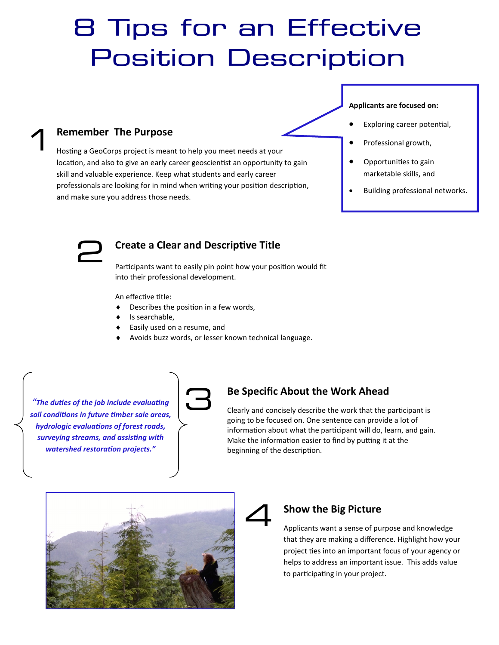# 8 Tips for an Effective **Position Description**

## **Applicants are focused on:**

- Exploring career potential,
- Professional growth,
- Opportunities to gain marketable skills, and
- Building professional networks.



**Remember The Purpose** 

and make sure you address those needs.

# **Create a Clear and Descriptive Title**

Participants want to easily pin point how your position would fit into their professional development.

An effective title:

- $\bullet$  Describes the position in a few words,
- ◆ Is searchable,
- Easily used on a resume, and

Hosting a GeoCorps project is meant to help you meet needs at your

skill and valuable experience. Keep what students and early career

location, and also to give an early career geoscientist an opportunity to gain

professionals are looking for in mind when writing your position description,

Avoids buzz words, or lesser known technical language.

*"The duties of the job include evaluating soil conditions in future timber sale areas, hydrologic evaluations of forest roads, surveying streams, and assisting with watershed restoration projects."*



# **Be Specific About the Work Ahead**

Clearly and concisely describe the work that the participant is going to be focused on. One sentence can provide a lot of information about what the participant will do, learn, and gain. Make the information easier to find by putting it at the beginning of the description.





## **Show the Big Picture**

Applicants want a sense of purpose and knowledge that they are making a difference. Highlight how your project ties into an important focus of your agency or helps to address an important issue. This adds value to participating in your project.